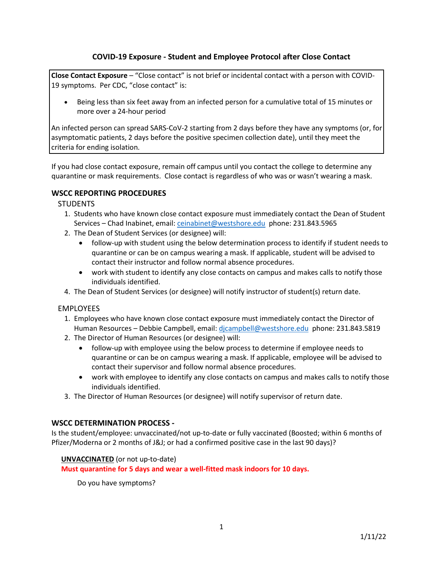# **COVID-19 Exposure - Student and Employee Protocol after Close Contact**

**Close Contact Exposure** – "Close contact" is not brief or incidental contact with a person with COVID-19 symptoms. Per CDC, "close contact" is:

• Being less than six feet away from an infected person for a cumulative total of 15 minutes or more over a 24-hour period

An infected person can spread SARS-CoV-2 starting from 2 days before they have any symptoms (or, for asymptomatic patients, 2 days before the positive specimen collection date), until they meet the criteria for ending isolation.

If you had close contact exposure, remain off campus until you contact the college to determine any quarantine or mask requirements. Close contact is regardless of who was or wasn't wearing a mask.

## **WSCC REPORTING PROCEDURES**

### **STUDENTS**

- 1. Students who have known close contact exposure must immediately contact the Dean of Student Services - Chad Inabinet, email[: ceinabinet@westshore.edu](mailto:ceinabinet@westshore.edu) phone: 231.843.5965
- 2. The Dean of Student Services (or designee) will:
	- follow-up with student using the below determination process to identify if student needs to quarantine or can be on campus wearing a mask. If applicable, student will be advised to contact their instructor and follow normal absence procedures.
	- work with student to identify any close contacts on campus and makes calls to notify those individuals identified.
- 4. The Dean of Student Services (or designee) will notify instructor of student(s) return date.

### EMPLOYEES

- 1. Employees who have known close contact exposure must immediately contact the Director of Human Resources – Debbie Campbell, email: [djcampbell@westshore.edu](mailto:djcampbell@westshore.edu) phone: 231.843.5819
- 2. The Director of Human Resources (or designee) will:
	- follow-up with employee using the below process to determine if employee needs to quarantine or can be on campus wearing a mask. If applicable, employee will be advised to contact their supervisor and follow normal absence procedures.
	- work with employee to identify any close contacts on campus and makes calls to notify those individuals identified.
- 3. The Director of Human Resources (or designee) will notify supervisor of return date.

### **WSCC DETERMINATION PROCESS -**

Is the student/employee: unvaccinated/not up-to-date or fully vaccinated (Boosted; within 6 months of Pfizer/Moderna or 2 months of J&J; or had a confirmed positive case in the last 90 days)?

### **UNVACCINATED** (or not up-to-date)

### **Must quarantine for 5 days and wear a well-fitted mask indoors for 10 days.**

Do you have symptoms?